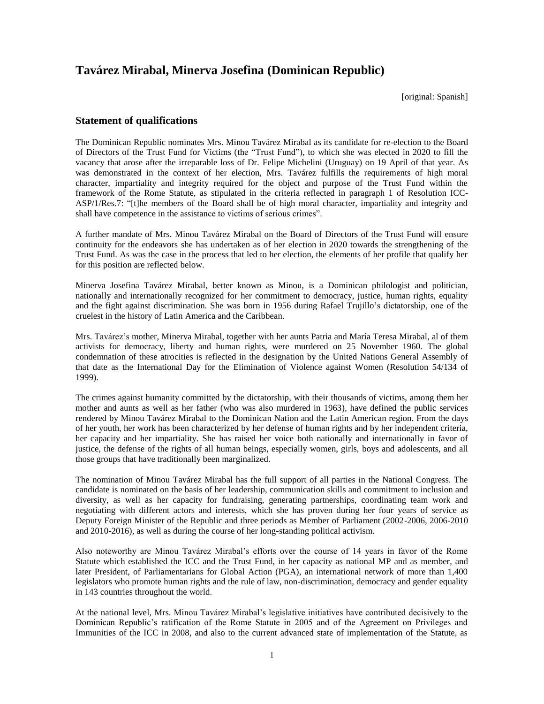## **Tavárez Mirabal, Minerva Josefina (Dominican Republic)**

[original: Spanish]

## **Statement of qualifications**

The Dominican Republic nominates Mrs. Minou Tavárez Mirabal as its candidate for re-election to the Board of Directors of the Trust Fund for Victims (the "Trust Fund"), to which she was elected in 2020 to fill the vacancy that arose after the irreparable loss of Dr. Felipe Michelini (Uruguay) on 19 April of that year. As was demonstrated in the context of her election, Mrs. Tavárez fulfills the requirements of high moral character, impartiality and integrity required for the object and purpose of the Trust Fund within the framework of the Rome Statute, as stipulated in the criteria reflected in paragraph 1 of Resolution ICC-ASP/1/Res.7: "[t]he members of the Board shall be of high moral character, impartiality and integrity and shall have competence in the assistance to victims of serious crimes".

A further mandate of Mrs. Minou Tavárez Mirabal on the Board of Directors of the Trust Fund will ensure continuity for the endeavors she has undertaken as of her election in 2020 towards the strengthening of the Trust Fund. As was the case in the process that led to her election, the elements of her profile that qualify her for this position are reflected below.

Minerva Josefina Tavárez Mirabal, better known as Minou, is a Dominican philologist and politician, nationally and internationally recognized for her commitment to democracy, justice, human rights, equality and the fight against discrimination. She was born in 1956 during Rafael Trujillo's dictatorship, one of the cruelest in the history of Latin America and the Caribbean.

Mrs. Tavárez's mother, Minerva Mirabal, together with her aunts Patria and María Teresa Mirabal, al of them activists for democracy, liberty and human rights, were murdered on 25 November 1960. The global condemnation of these atrocities is reflected in the designation by the United Nations General Assembly of that date as the International Day for the Elimination of Violence against Women (Resolution 54/134 of 1999).

The crimes against humanity committed by the dictatorship, with their thousands of victims, among them her mother and aunts as well as her father (who was also murdered in 1963), have defined the public services rendered by Minou Tavárez Mirabal to the Dominican Nation and the Latin American region. From the days of her youth, her work has been characterized by her defense of human rights and by her independent criteria, her capacity and her impartiality. She has raised her voice both nationally and internationally in favor of justice, the defense of the rights of all human beings, especially women, girls, boys and adolescents, and all those groups that have traditionally been marginalized.

The nomination of Minou Tavárez Mirabal has the full support of all parties in the National Congress. The candidate is nominated on the basis of her leadership, communication skills and commitment to inclusion and diversity, as well as her capacity for fundraising, generating partnerships, coordinating team work and negotiating with different actors and interests, which she has proven during her four years of service as Deputy Foreign Minister of the Republic and three periods as Member of Parliament (2002-2006, 2006-2010 and 2010-2016), as well as during the course of her long-standing political activism.

Also noteworthy are Minou Tavárez Mirabal's efforts over the course of 14 years in favor of the Rome Statute which established the ICC and the Trust Fund, in her capacity as national MP and as member, and later President, of Parliamentarians for Global Action (PGA), an international network of more than 1,400 legislators who promote human rights and the rule of law, non-discrimination, democracy and gender equality in 143 countries throughout the world.

At the national level, Mrs. Minou Tavárez Mirabal's legislative initiatives have contributed decisively to the Dominican Republic's ratification of the Rome Statute in 2005 and of the Agreement on Privileges and Immunities of the ICC in 2008, and also to the current advanced state of implementation of the Statute, as